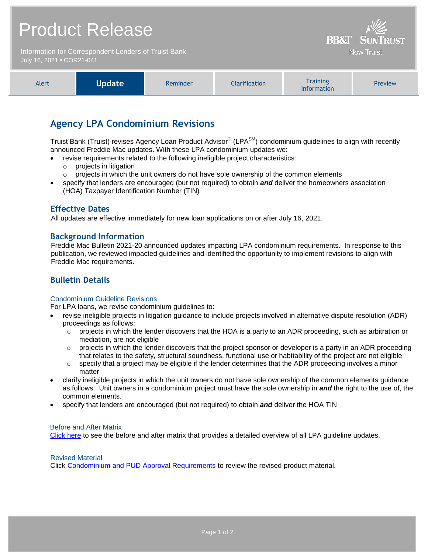# Product Release

Information for Correspondent Lenders of Truist Bank July 16, 2021 **•** COR21-041

| Alert | <b>Update</b> | Reminder | <b>Clarification</b> | <b>Training</b><br><b>Information</b> | Preview |
|-------|---------------|----------|----------------------|---------------------------------------|---------|

**BB&T | SUNTRUST Now Truist** 

# **Agency LPA Condominium Revisions**

Truist Bank (Truist) revises Agency Loan Product Advisor® (LPA<sup>SM</sup>) condominium guidelines to align with recently announced Freddie Mac updates. With these LPA condominium updates we:

- revise requirements related to the following ineligible project characteristics:
- o projects in litigation
	- $\circ$  projects in which the unit owners do not have sole ownership of the common elements
- specify that lenders are encouraged (but not required) to obtain *and* deliver the homeowners association (HOA) Taxpayer Identification Number (TIN)

#### **Effective Dates**

All updates are effective immediately for new loan applications on or after July 16, 2021.

#### **Background Information**

Freddie Mac Bulletin 2021-20 announced updates impacting LPA condominium requirements. In response to this publication, we reviewed impacted guidelines and identified the opportunity to implement revisions to align with Freddie Mac requirements.

## **Bulletin Details**

#### Condominium Guideline Revisions

For LPA loans, we revise condominium guidelines to:

- revise ineligible projects in litigation guidance to include projects involved in alternative dispute resolution (ADR) proceedings as follows:
	- $\circ$  projects in which the lender discovers that the HOA is a party to an ADR proceeding, such as arbitration or mediation, are not eligible
	- $\circ$  projects in which the lender discovers that the project sponsor or developer is a party in an ADR proceeding that relates to the safety, structural soundness, functional use or habitability of the project are not eligible
	- $\circ$  specify that a project may be eligible if the lender determines that the ADR proceeding involves a minor matter
- clarify ineligible projects in which the unit owners do not have sole ownership of the common elements guidance as follows: Unit owners in a condominium project must have the sole ownership in *and* the right to the use of, the common elements.
- specify that lenders are encouraged (but not required) to obtain *and* deliver the HOA TIN

#### Before and After Matrix

[Click here](http://www.truistsellerguide.com/manual/cor/products/Cr21-041BA.pdf) to see the before and after matrix that provides a detailed overview of all LPA guideline updates.

Revised Material

Click [Condominium and PUD Approval Requirements](https://www.truistsellerguide.com/Manual/cor/general/1.06CondoPUD.pdf) to review the revised product material.